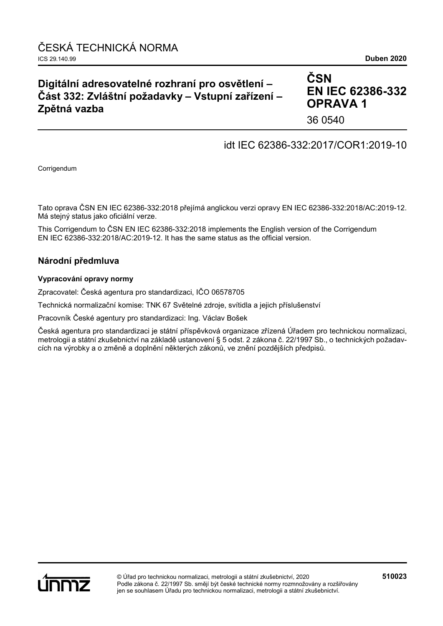## **Digitální adresovatelné rozhraní pro osvětlení – Část 332: Zvláštní požadavky – Vstupní zařízení – Zpětná vazba**

**ČSN EN IEC 62386-332 OPRAVA 1**

36 0540

## idt IEC 62386-332:2017/COR1:2019-10

**Corrigendum** 

Tato oprava ČSN EN IEC 62386-332:2018 přejímá anglickou verzi opravy EN IEC 62386-332:2018/AC:2019-12. Má stejný status jako oficiální verze.

This Corrigendum to ČSN EN IEC 62386-332:2018 implements the English version of the Corrigendum EN IEC 62386-332:2018/AC:2019-12. It has the same status as the official version.

#### **Národní předmluva**

#### **Vypracování opravy normy**

Zpracovatel: Česká agentura pro standardizaci, IČO 06578705

Technická normalizační komise: TNK 67 Světelné zdroje, svítidla a jejich příslušenství

Pracovník České agentury pro standardizaci: Ing. Václav Bošek

Česká agentura pro standardizaci je státní příspěvková organizace zřízená Úřadem pro technickou normalizaci, metrologii a státní zkušebnictví na základě ustanovení § 5 odst. 2 zákona č. 22/1997 Sb., o technických požadavcích na výrobky a o změně a doplnění některých zákonů, ve znění pozdějších předpisů.

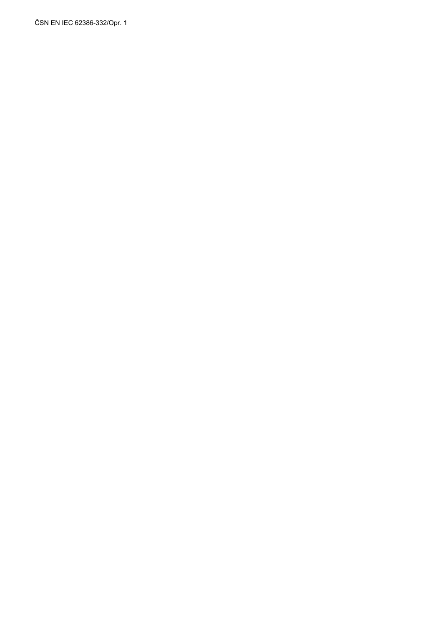ČSN EN IEC 62386-332/Opr. 1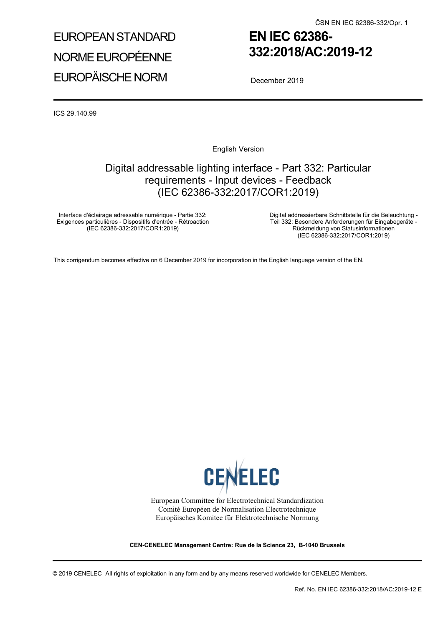# EUROPEAN STANDARD NORME EUROPÉENNE EUROPÄISCHE NORM

## **EN IEC 62386- 332:2018/AC:2019-12**

December 2019

ICS 29.140.99

English Version

### Digital addressable lighting interface - Part 332: Particular requirements - Input devices - Feedback (IEC 62386-332:2017/COR1:2019)

Interface d'éclairage adressable numérique - Partie 332: Exigences particulières - Dispositifs d'entrée - Rétroaction (IEC 62386-332:2017/COR1:2019)

 Digital addressierbare Schnittstelle für die Beleuchtung - Teil 332: Besondere Anforderungen für Eingabegeräte - Rückmeldung von Statusinformationen (IEC 62386-332:2017/COR1:2019)

This corrigendum becomes effective on 6 December 2019 for incorporation in the English language version of the EN.



European Committee for Electrotechnical Standardization Comité Européen de Normalisation Electrotechnique Europäisches Komitee für Elektrotechnische Normung

**CEN-CENELEC Management Centre: Rue de la Science 23, B-1040 Brussels** 

© 2019 CENELEC All rights of exploitation in any form and by any means reserved worldwide for CENELEC Members.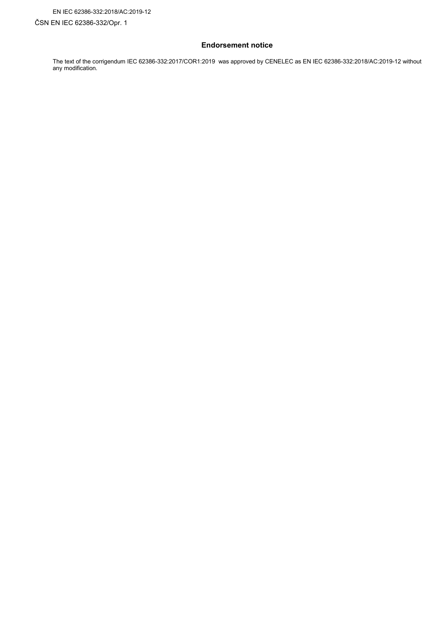EN IEC 62386-332:2018/AC:2019-12

ČSN EN IEC 62386-332/Opr. 1

#### **Endorsement notice**

The text of the corrigendum IEC 62386-332:2017/COR1:2019 was approved by CENELEC as EN IEC 62386-332:2018/AC:2019-12 without any modification.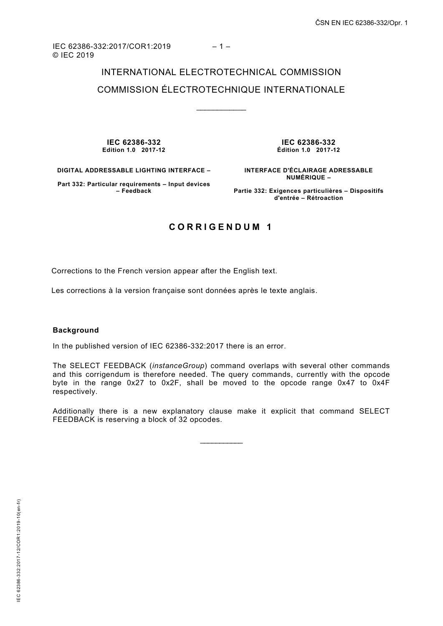IEC 62386-332:2017/COR1:2019 – 1 – © IEC 2019

## INTERNATIONAL ELECTROTECHNICAL COMMISSION COMMISSION ÉLECTROTECHNIQUE INTERNATIONALE

\_\_\_\_\_\_\_\_\_\_\_\_

**IEC 62386-332 Edition 1.0 2017-12**

**IEC 62386-332 Édition 1.0 2017-12**

**DIGITAL ADDRESSABLE LIGHTING INTERFACE –** 

**INTERFACE D'ÉCLAIRAGE ADRESSABLE NUMÉRIQUE –** 

**Part 332: Particular requirements – Input devices – Feedback**

**Partie 332: Exigences particulières – Dispositifs d'entrée – Rétroaction** 

### **CORRIGENDUM 1**

Corrections to the French version appear after the English text.

Les corrections à la version française sont données après le texte anglais.

#### **Background**

In the published version of IEC 62386-332:2017 there is an error.

The SELECT FEEDBACK (*instanceGroup*) command overlaps with several other commands and this corrigendum is therefore needed. The query commands, currently with the opcode byte in the range 0x27 to 0x2F, shall be moved to the opcode range 0x47 to 0x4F respectively.

Additionally there is a new explanatory clause make it explicit that command SELECT FEEDBACK is reserving a block of 32 opcodes.

\_\_\_\_\_\_\_\_\_\_\_\_\_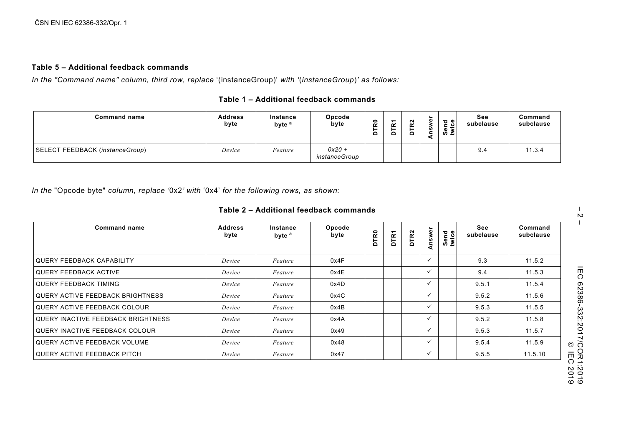#### **Table 5 – Additional feedback commands**

*In the "Command name" column, third row, replace* '(instanceGroup)' *with '*(*instanceGroup*)*' as follows:* 

#### **Table 1 – Additional feedback commands**

| <b>Command name</b>              | <b>Address</b><br>byte | Instance<br>byte <sup>a</sup> | Opcode<br>byte                   | 0<br>$\sim$<br>o | ี<br>α | -<br>w | ㅎ ㅎ<br>Φ<br>ທ ≥ | See<br>subclause | Command<br>subclause |
|----------------------------------|------------------------|-------------------------------|----------------------------------|------------------|--------|--------|-----------------|------------------|----------------------|
| SELECT FEEDBACK (instance Group) | Device                 | Feature                       | $0x20 +$<br><i>instanceGroup</i> |                  |        |        |                 | 9.4              | 11.3.4               |

*In the* "Opcode byte" *column, replace '*0x2*' with* '0x4' *for the following rows, as shown:* 

| <b>Command name</b>                     | <b>Address</b><br>byte | Instance<br>byte <sup>a</sup> | Opcode<br>byte | <b>TRO</b><br>$\Omega$ | <b>DTR1</b> | TR <sub>2</sub><br>Δ | nswei        | Send<br>twice | See<br>subclause | Command<br>subclause |
|-----------------------------------------|------------------------|-------------------------------|----------------|------------------------|-------------|----------------------|--------------|---------------|------------------|----------------------|
| <b>QUERY FEEDBACK CAPABILITY</b>        | Device                 | Feature                       | 0x4F           |                        |             |                      | $\checkmark$ |               | 9.3              | 11.5.2               |
| <b>QUERY FEEDBACK ACTIVE</b>            | Device                 | Feature                       | 0x4E           |                        |             |                      | $\checkmark$ |               | 9.4              | 11.5.3               |
| <b>QUERY FEEDBACK TIMING</b>            | Device                 | Feature                       | 0x4D           |                        |             |                      | $\checkmark$ |               | 9.5.1            | 11.5.4               |
| <b>QUERY ACTIVE FEEDBACK BRIGHTNESS</b> | Device                 | Feature                       | 0x4C           |                        |             |                      | $\checkmark$ |               | 9.5.2            | 11.5.6               |
| QUERY ACTIVE FEEDBACK COLOUR            | Device                 | Feature                       | 0x4B           |                        |             |                      | $\checkmark$ |               | 9.5.3            | 11.5.5               |
| QUERY INACTIVE FEEDBACK BRIGHTNESS      | Device                 | Feature                       | 0x4A           |                        |             |                      | $\checkmark$ |               | 9.5.2            | 11.5.8               |
| QUERY INACTIVE FEEDBACK COLOUR          | Device                 | Feature                       | 0x49           |                        |             |                      | $\checkmark$ |               | 9.5.3            | 11.5.7               |
| QUERY ACTIVE FEEDBACK VOLUME            | Device                 | Feature                       | 0x48           |                        |             |                      | $\checkmark$ |               | 9.5.4            | 11.5.9               |
| QUERY ACTIVE FEEDBACK PITCH             | Device                 | Feature                       | 0x47           |                        |             |                      | $\checkmark$ |               | 9.5.5            | 11.5.10              |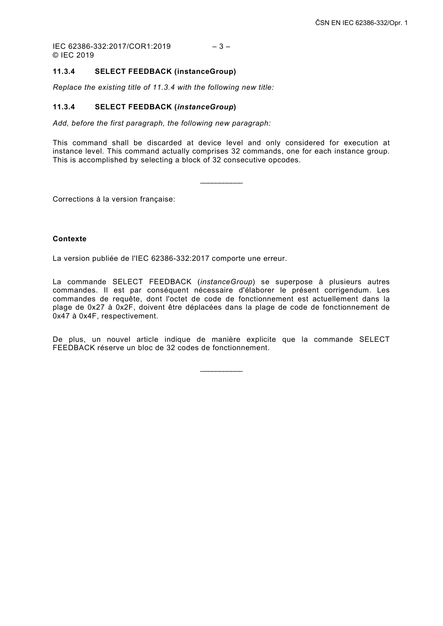IEC 62386-332:2017/COR1:2019 – 3 – © IEC 2019

#### **11.3.4 SELECT FEEDBACK (instanceGroup)**

*Replace the existing title of 11.3.4 with the following new title:*

#### **11.3.4 SELECT FEEDBACK (***instanceGroup***)**

*Add, before the first paragraph, the following new paragraph:* 

This command shall be discarded at device level and only considered for execution at instance level. This command actually comprises 32 commands, one for each instance group. This is accomplished by selecting a block of 32 consecutive opcodes.

\_\_\_\_\_\_\_\_\_\_\_\_\_

Corrections à la version française:

#### **Contexte**

La version publiée de l'IEC 62386-332:2017 comporte une erreur.

La commande SELECT FEEDBACK (*instanceGroup*) se superpose à plusieurs autres commandes. Il est par conséquent nécessaire d'élaborer le présent corrigendum. Les commandes de requête, dont l'octet de code de fonctionnement est actuellement dans la plage de 0x27 à 0x2F, doivent être déplacées dans la plage de code de fonctionnement de 0x47 à 0x4F, respectivement.

De plus, un nouvel article indique de manière explicite que la commande SELECT FEEDBACK réserve un bloc de 32 codes de fonctionnement.

\_\_\_\_\_\_\_\_\_\_\_\_\_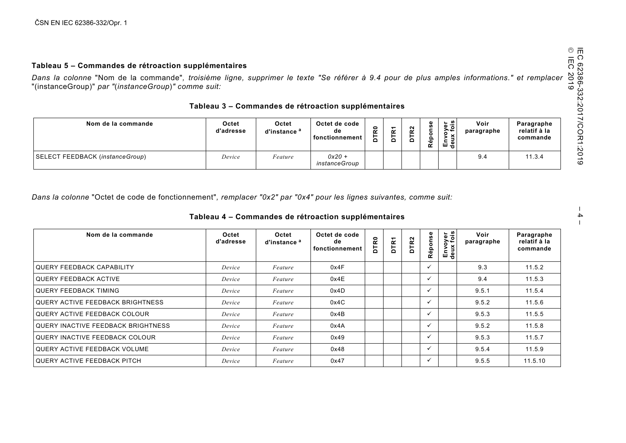#### **Tableau 5 – Commandes de rétroaction supplémentaires**

*Dans la colonne* "Nom de la commande"*, troisième ligne, supprimer le texte "Se référer à 9.4 pour de plus amples informations." et remplacer*  "(instanceGroup)" *par "*(*instanceGroup*)*" comme suit:* 

| Nom de la commande                      | Octet<br>d'adresse | Octet<br>d'instance <sup>a</sup> | Octet de code<br>de<br><b>fonctionnement</b> | 0<br>α | $\overline{\phantom{0}}$<br>≃<br>o | N<br>α<br>o | œ<br>ഗ<br>௨ | $-$ 0<br>قع<br>آ<br>۰<br>↘<br>$\sim$<br>-<br>山島 | Voir<br>paragraphe | Paragraphe<br>relatif à la<br>commande |
|-----------------------------------------|--------------------|----------------------------------|----------------------------------------------|--------|------------------------------------|-------------|-------------|-------------------------------------------------|--------------------|----------------------------------------|
| <b>SELECT FEEDBACK (instance Group)</b> | Device             | Feature                          | $0x20 +$<br>instanceGroup                    |        |                                    |             |             |                                                 | ల.∼                | 11.3.4                                 |

*Dans la colonne* "Octet de code de fonctionnement"*, remplacer "0x2" par "0x4" pour les lignes suivantes, comme suit:* 

**Tableau 4 – Commandes de rétroaction supplémentaires**

| Nom de la commande                        | Octet<br>d'adresse | Octet<br>d'instance <sup>a</sup> | Octet de code<br>de<br>fonctionnement | R0<br>۵ | <b>DTR1</b> | DTR <sub>2</sub> | Réponse      | yer<br>fois<br>Envo<br>deux | Voir<br>paragraphe | Paragraphe<br>relatif à la<br>commande |
|-------------------------------------------|--------------------|----------------------------------|---------------------------------------|---------|-------------|------------------|--------------|-----------------------------|--------------------|----------------------------------------|
| <b>QUERY FEEDBACK CAPABILITY</b>          | Device             | Feature                          | 0x4F                                  |         |             |                  |              |                             | 9.3                | 11.5.2                                 |
| <b>QUERY FEEDBACK ACTIVE</b>              | Device             | Feature                          | 0x4E                                  |         |             |                  | ✓            |                             | 9.4                | 11.5.3                                 |
| <b>QUERY FEEDBACK TIMING</b>              | Device             | Feature                          | 0x4D                                  |         |             |                  | ✓            |                             | 9.5.1              | 11.5.4                                 |
| <b>QUERY ACTIVE FEEDBACK BRIGHTNESS</b>   | Device             | Feature                          | 0x4C                                  |         |             |                  |              |                             | 9.5.2              | 11.5.6                                 |
| QUERY ACTIVE FEEDBACK COLOUR              | Device             | Feature                          | 0x4B                                  |         |             |                  | ✓            |                             | 9.5.3              | 11.5.5                                 |
| <b>QUERY INACTIVE FEEDBACK BRIGHTNESS</b> | Device             | Feature                          | 0x4A                                  |         |             |                  | $\checkmark$ |                             | 9.5.2              | 11.5.8                                 |
| <b>QUERY INACTIVE FEEDBACK COLOUR</b>     | Device             | Feature                          | 0x49                                  |         |             |                  | ✓            |                             | 9.5.3              | 11.5.7                                 |
| QUERY ACTIVE FEEDBACK VOLUME              | Device             | Feature                          | 0x48                                  |         |             |                  | $\checkmark$ |                             | 9.5.4              | 11.5.9                                 |
| l QUERY ACTIVE FEEDBACK PITCH             | Device             | Feature                          | 0x47                                  |         |             |                  | ✓            |                             | 9.5.5              | 11.5.10                                |

 $\overline{1}$ 4  $\mathbf{I}$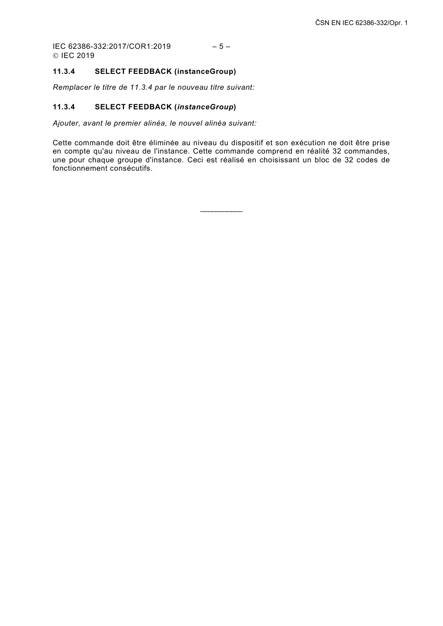IEC 62386-332:2017/COR1:2019 – 5 – © IEC 2019

#### **11.3.4 SELECT FEEDBACK (instanceGroup)**

*Remplacer le titre de 11.3.4 par le nouveau titre suivant:*

#### **11.3.4 SELECT FEEDBACK (***instanceGroup***)**

*Ajouter, avant le premier alinéa, le nouvel alinéa suivant:* 

Cette commande doit être éliminée au niveau du dispositif et son exécution ne doit être prise en compte qu'au niveau de l'instance. Cette commande comprend en réalité 32 commandes, une pour chaque groupe d'instance. Ceci est réalisé en choisissant un bloc de 32 codes de fonctionnement consécutifs.

\_\_\_\_\_\_\_\_\_\_\_\_\_\_